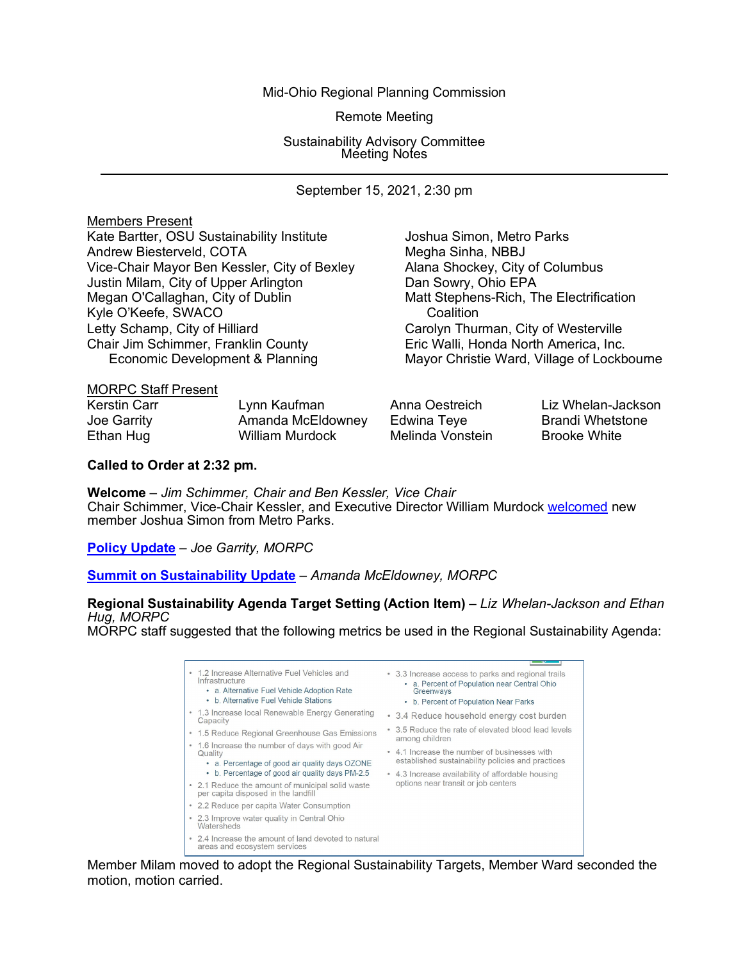Mid-Ohio Regional Planning Commission

Remote Meeting

Sustainability Advisory Committee Meeting Notes

September 15, 2021, 2:30 pm

| <b>Members Present</b>                       |                                            |
|----------------------------------------------|--------------------------------------------|
| Kate Bartter, OSU Sustainability Institute   | Joshua Simon, Metro Parks                  |
| Andrew Biesterveld, COTA                     | Megha Sinha, NBBJ                          |
| Vice-Chair Mayor Ben Kessler, City of Bexley | Alana Shockey, City of Columbus            |
| Justin Milam, City of Upper Arlington        | Dan Sowry, Ohio EPA                        |
| Megan O'Callaghan, City of Dublin            | Matt Stephens-Rich, The Electrification    |
| Kyle O'Keefe, SWACO                          | Coalition                                  |
| Letty Schamp, City of Hilliard               | Carolyn Thurman, City of Westerville       |
| Chair Jim Schimmer, Franklin County          | Eric Walli, Honda North America, Inc.      |
| Economic Development & Planning              | Mayor Christie Ward, Village of Lockbourne |
| $\blacksquare$                               |                                            |

|  | <b>MORPC Staff Present</b> |
|--|----------------------------|
|  |                            |

| <b>Kerstin Carr</b> | Lynn Kaufman      | Anna Oestreich   | Liz Whelan-Jackson      |
|---------------------|-------------------|------------------|-------------------------|
| Joe Garrity         | Amanda McEldowney | Edwina Teye      | <b>Brandi Whetstone</b> |
| Ethan Hug           | William Murdock   | Melinda Vonstein | <b>Brooke White</b>     |

# **Called to Order at 2:32 pm.**

**Welcome** *– Jim Schimmer, Chair and Ben Kessler, Vice Chair* Chair Schimmer, Vice-Chair Kessler, and Executive Director William Murdock [welcomed](https://morpc1-my.sharepoint.com/:v:/g/personal/lkaufman_morpc_org/EXpXDGrE7jZLq-KqfRBO1t0B_UjiMk0_dErBd8LYuIUOIw?e=vVy5uY) new member Joshua Simon from Metro Parks.

**[Policy Update](https://morpc1-my.sharepoint.com/:v:/g/personal/lkaufman_morpc_org/EboEcesDw_JEoj7tn6sRb04B3ZofQiz6MqAlbLuJ0_tdfA?e=d6ia5Q)** *– Joe Garrity, MORPC*

**[Summit on Sustainability Update](https://morpc1-my.sharepoint.com/:v:/g/personal/lkaufman_morpc_org/Ee9QhUJmuv5FjM-6zoJ7VGgB1CeTHUoLdqJDgORG-zl_fg?e=d93DaF)** – *Amanda McEldowney, MORPC*

#### **Regional Sustainability Agenda Target Setting (Action Item)** – *Liz Whelan-Jackson and Ethan Hug, MORPC*

MORPC staff suggested that the following metrics be used in the Regional Sustainability Agenda:

- 1.2 Increase Alternative Fuel Vehicles and . 3.3 Increase access to parks and regional trails 3 increase access to parks and regional trait<br>• a. Percent of Population near Central Ohio<br>Greenways Infrastructure • a. Alternative Fuel Vehicle Adoption Rate • b. Alternative Fuel Vehicle Stations • b. Percent of Population Near Parks • 1.3 Increase local Renewable Energy Generating • 3.4 Reduce household energy cost burden<br>Capacity • 1.5 Reduce Regional Greenhouse Gas Emissions • 3.5 Reduce the rate of elevated blood lead levels among children • 1.6 Increase the number of days with good Air<br>Quality • 4.1 Increase the number of businesses with established sustainability policies and practices • a. Percentage of good air quality days OZONE
- b. Percentage of good air quality days PM-2.5 4.3 Increase availability of affordable housing • 2.1 Reduce the amount of municipal solid waste options near transit or job centers
- per capita disposed in the landfill
- 2.2 Reduce per capita Water Consumption
- · 2.3 Improve water quality in Central Ohio Watersheds
- 2.4 Increase the amount of land devoted to natural areas and ecosystem services

Member Milam moved to adopt the Regional Sustainability Targets, Member Ward seconded the motion, motion carried.